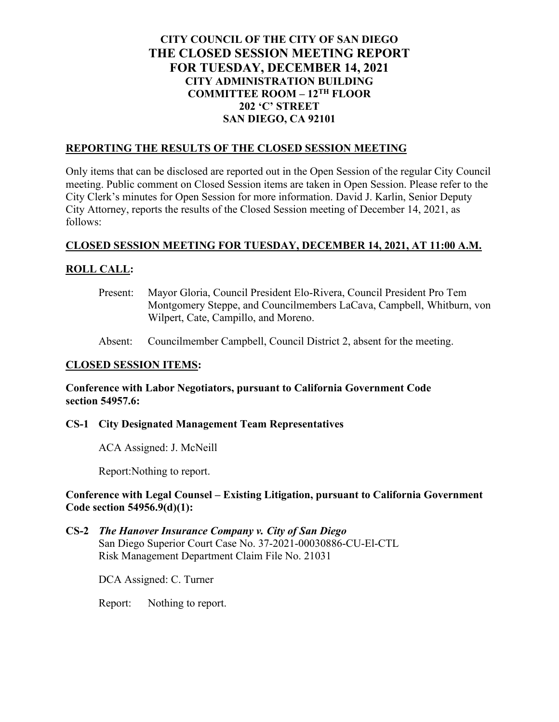# **CITY COUNCIL OF THE CITY OF SAN DIEGO THE CLOSED SESSION MEETING REPORT FOR TUESDAY, DECEMBER 14, 2021 CITY ADMINISTRATION BUILDING COMMITTEE ROOM – 12TH FLOOR 202 'C' STREET SAN DIEGO, CA 92101**

## **REPORTING THE RESULTS OF THE CLOSED SESSION MEETING**

Only items that can be disclosed are reported out in the Open Session of the regular City Council meeting. Public comment on Closed Session items are taken in Open Session. Please refer to the City Clerk's minutes for Open Session for more information. David J. Karlin, Senior Deputy City Attorney, reports the results of the Closed Session meeting of December 14, 2021, as follows:

## **CLOSED SESSION MEETING FOR TUESDAY, DECEMBER 14, 2021, AT 11:00 A.M.**

## **ROLL CALL:**

- Present: Mayor Gloria, Council President Elo-Rivera, Council President Pro Tem Montgomery Steppe, and Councilmembers LaCava, Campbell, Whitburn, von Wilpert, Cate, Campillo, and Moreno.
- Absent: Councilmember Campbell, Council District 2, absent for the meeting.

# **CLOSED SESSION ITEMS:**

**Conference with Labor Negotiators, pursuant to California Government Code section 54957.6:**

#### **CS-1 City Designated Management Team Representatives**

ACA Assigned: J. McNeill

Report:Nothing to report.

### **Conference with Legal Counsel – Existing Litigation, pursuant to California Government Code section 54956.9(d)(1):**

**CS-2** *The Hanover Insurance Company v. City of San Diego* San Diego Superior Court Case No. 37-2021-00030886-CU-El-CTL Risk Management Department Claim File No. 21031

DCA Assigned: C. Turner

Report: Nothing to report.